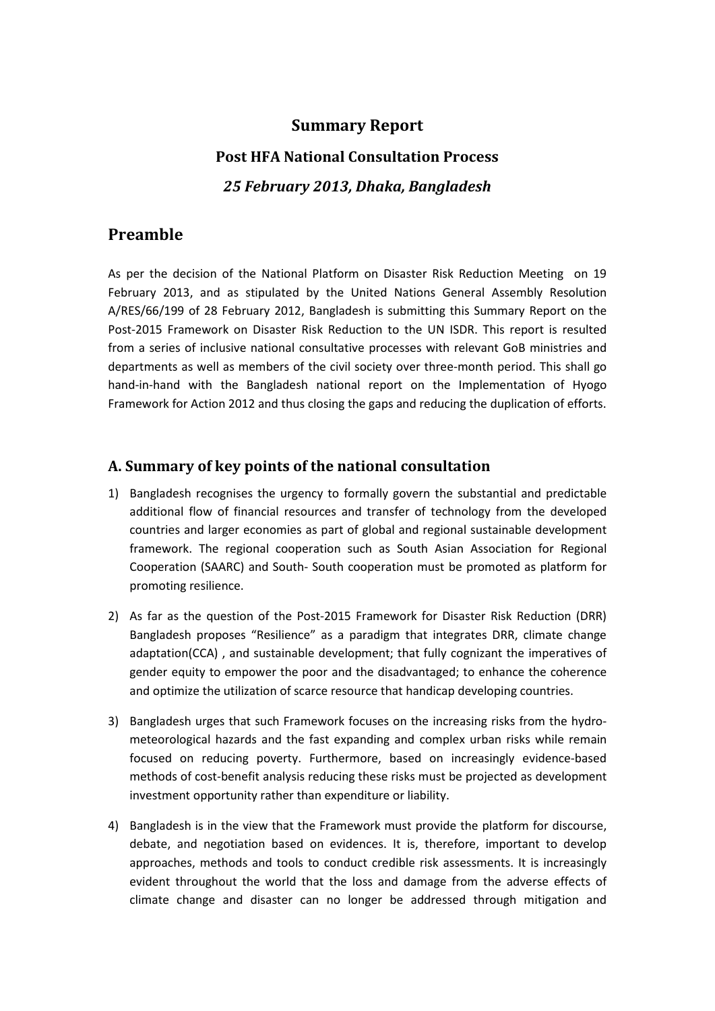# **Summary Report**

# **Post HFA National Consultation Process** *25 February 2013, Dhaka, Bangladesh*

# **Preamble**

As per the decision of the National Platform on Disaster Risk Reduction Meeting on 19 February 2013, and as stipulated by the United Nations General Assembly Resolution A/RES/66/199 of 28 February 2012, Bangladesh is submitting this Summary Report on the Post-2015 Framework on Disaster Risk Reduction to the UN ISDR. This report is resulted from a series of inclusive national consultative processes with relevant GoB ministries and departments as well as members of the civil society over three-month period. This shall go hand-in-hand with the Bangladesh national report on the Implementation of Hyogo Framework for Action 2012 and thus closing the gaps and reducing the duplication of efforts.

# **A. Summary of key points of the national consultation**

- 1) Bangladesh recognises the urgency to formally govern the substantial and predictable additional flow of financial resources and transfer of technology from the developed countries and larger economies as part of global and regional sustainable development framework. The regional cooperation such as South Asian Association for Regional Cooperation (SAARC) and South- South cooperation must be promoted as platform for promoting resilience.
- 2) As far as the question of the Post-2015 Framework for Disaster Risk Reduction (DRR) Bangladesh proposes "Resilience" as a paradigm that integrates DRR, climate change adaptation(CCA) , and sustainable development; that fully cognizant the imperatives of gender equity to empower the poor and the disadvantaged; to enhance the coherence and optimize the utilization of scarce resource that handicap developing countries.
- 3) Bangladesh urges that such Framework focuses on the increasing risks from the hydrometeorological hazards and the fast expanding and complex urban risks while remain focused on reducing poverty. Furthermore, based on increasingly evidence-based methods of cost-benefit analysis reducing these risks must be projected as development investment opportunity rather than expenditure or liability.
- 4) Bangladesh is in the view that the Framework must provide the platform for discourse, debate, and negotiation based on evidences. It is, therefore, important to develop approaches, methods and tools to conduct credible risk assessments. It is increasingly evident throughout the world that the loss and damage from the adverse effects of climate change and disaster can no longer be addressed through mitigation and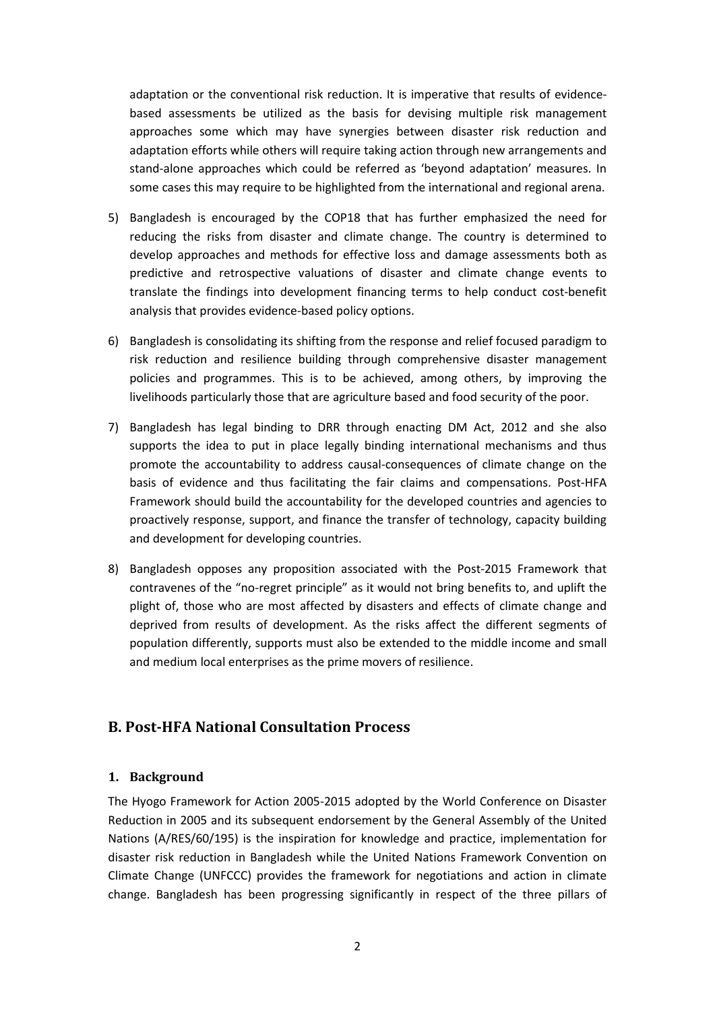adaptation or the conventional risk reduction. It is imperative that results of evidencebased assessments be utilized as the basis for devising multiple risk management approaches some which may have synergies between disaster risk reduction and adaptation efforts while others will require taking action through new arrangements and stand-alone approaches which could be referred as 'beyond adaptation' measures. In some cases this may require to be highlighted from the international and regional arena.

- 5) Bangladesh is encouraged by the COP18 that has further emphasized the need for reducing the risks from disaster and climate change. The country is determined to develop approaches and methods for effective loss and damage assessments both as predictive and retrospective valuations of disaster and climate change events to translate the findings into development financing terms to help conduct cost-benefit analysis that provides evidence-based policy options.
- 6) Bangladesh is consolidating its shifting from the response and relief focused paradigm to risk reduction and resilience building through comprehensive disaster management policies and programmes. This is to be achieved, among others, by improving the livelihoods particularly those that are agriculture based and food security of the poor.
- 7) Bangladesh has legal binding to DRR through enacting DM Act, 2012 and she also supports the idea to put in place legally binding international mechanisms and thus promote the accountability to address causal-consequences of climate change on the basis of evidence and thus facilitating the fair claims and compensations. Post-HFA Framework should build the accountability for the developed countries and agencies to proactively response, support, and finance the transfer of technology, capacity building and development for developing countries.
- 8) Bangladesh opposes any proposition associated with the Post-2015 Framework that contravenes of the "no-regret principle" as it would not bring benefits to, and uplift the plight of, those who are most affected by disasters and effects of climate change and deprived from results of development. As the risks affect the different segments of population differently, supports must also be extended to the middle income and small and medium local enterprises as the prime movers of resilience.

### **B. Post-HFA National Consultation Process**

### **1. Background**

The Hyogo Framework for Action 2005-2015 adopted by the World Conference on Disaster Reduction in 2005 and its subsequent endorsement by the General Assembly of the United Nations (A/RES/60/195) is the inspiration for knowledge and practice, implementation for disaster risk reduction in Bangladesh while the United Nations Framework Convention on Climate Change (UNFCCC) provides the framework for negotiations and action in climate change. Bangladesh has been progressing significantly in respect of the three pillars of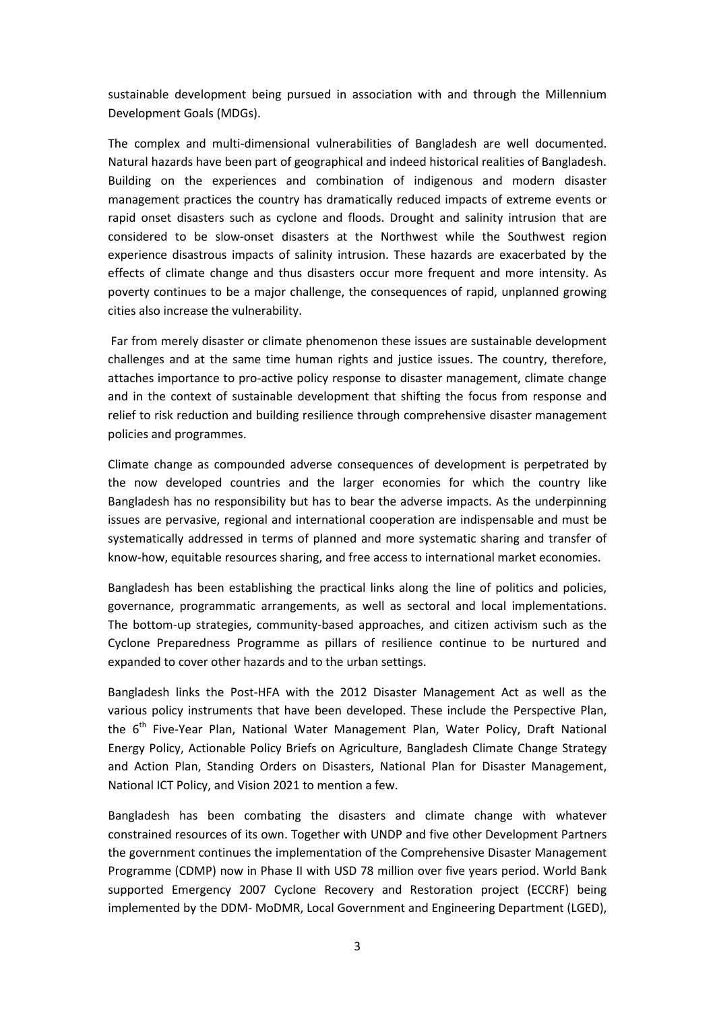sustainable development being pursued in association with and through the Millennium Development Goals (MDGs).

The complex and multi-dimensional vulnerabilities of Bangladesh are well documented. Natural hazards have been part of geographical and indeed historical realities of Bangladesh. Building on the experiences and combination of indigenous and modern disaster management practices the country has dramatically reduced impacts of extreme events or rapid onset disasters such as cyclone and floods. Drought and salinity intrusion that are considered to be slow-onset disasters at the Northwest while the Southwest region experience disastrous impacts of salinity intrusion. These hazards are exacerbated by the effects of climate change and thus disasters occur more frequent and more intensity. As poverty continues to be a major challenge, the consequences of rapid, unplanned growing cities also increase the vulnerability.

Far from merely disaster or climate phenomenon these issues are sustainable development challenges and at the same time human rights and justice issues. The country, therefore, attaches importance to pro-active policy response to disaster management, climate change and in the context of sustainable development that shifting the focus from response and relief to risk reduction and building resilience through comprehensive disaster management policies and programmes.

Climate change as compounded adverse consequences of development is perpetrated by the now developed countries and the larger economies for which the country like Bangladesh has no responsibility but has to bear the adverse impacts. As the underpinning issues are pervasive, regional and international cooperation are indispensable and must be systematically addressed in terms of planned and more systematic sharing and transfer of know-how, equitable resources sharing, and free access to international market economies.

Bangladesh has been establishing the practical links along the line of politics and policies, governance, programmatic arrangements, as well as sectoral and local implementations. The bottom-up strategies, community-based approaches, and citizen activism such as the Cyclone Preparedness Programme as pillars of resilience continue to be nurtured and expanded to cover other hazards and to the urban settings.

Bangladesh links the Post-HFA with the 2012 Disaster Management Act as well as the various policy instruments that have been developed. These include the Perspective Plan, the 6<sup>th</sup> Five-Year Plan, National Water Management Plan, Water Policy, Draft National Energy Policy, Actionable Policy Briefs on Agriculture, Bangladesh Climate Change Strategy and Action Plan, Standing Orders on Disasters, National Plan for Disaster Management, National ICT Policy, and Vision 2021 to mention a few.

Bangladesh has been combating the disasters and climate change with whatever constrained resources of its own. Together with UNDP and five other Development Partners the government continues the implementation of the Comprehensive Disaster Management Programme (CDMP) now in Phase II with USD 78 million over five years period. World Bank supported Emergency 2007 Cyclone Recovery and Restoration project (ECCRF) being implemented by the DDM- MoDMR, Local Government and Engineering Department (LGED),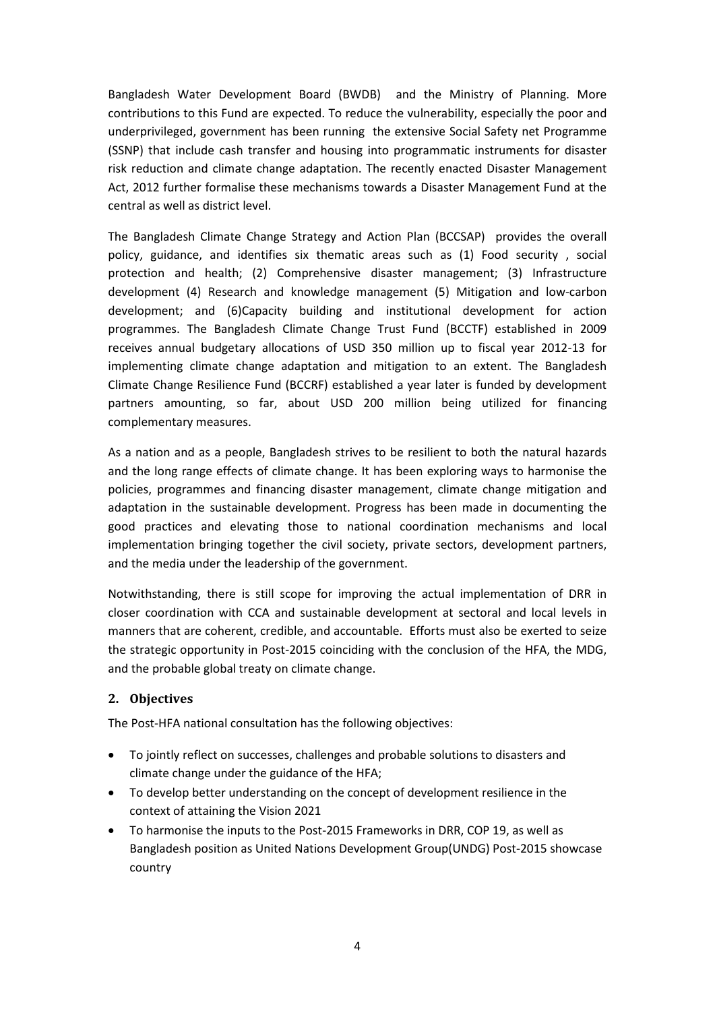Bangladesh Water Development Board (BWDB) and the Ministry of Planning. More contributions to this Fund are expected. To reduce the vulnerability, especially the poor and underprivileged, government has been running the extensive Social Safety net Programme (SSNP) that include cash transfer and housing into programmatic instruments for disaster risk reduction and climate change adaptation. The recently enacted Disaster Management Act, 2012 further formalise these mechanisms towards a Disaster Management Fund at the central as well as district level.

The Bangladesh Climate Change Strategy and Action Plan (BCCSAP) provides the overall policy, guidance, and identifies six thematic areas such as (1) Food security , social protection and health; (2) Comprehensive disaster management; (3) Infrastructure development (4) Research and knowledge management (5) Mitigation and low-carbon development; and (6)Capacity building and institutional development for action programmes. The Bangladesh Climate Change Trust Fund (BCCTF) established in 2009 receives annual budgetary allocations of USD 350 million up to fiscal year 2012-13 for implementing climate change adaptation and mitigation to an extent. The Bangladesh Climate Change Resilience Fund (BCCRF) established a year later is funded by development partners amounting, so far, about USD 200 million being utilized for financing complementary measures.

As a nation and as a people, Bangladesh strives to be resilient to both the natural hazards and the long range effects of climate change. It has been exploring ways to harmonise the policies, programmes and financing disaster management, climate change mitigation and adaptation in the sustainable development. Progress has been made in documenting the good practices and elevating those to national coordination mechanisms and local implementation bringing together the civil society, private sectors, development partners, and the media under the leadership of the government.

Notwithstanding, there is still scope for improving the actual implementation of DRR in closer coordination with CCA and sustainable development at sectoral and local levels in manners that are coherent, credible, and accountable. Efforts must also be exerted to seize the strategic opportunity in Post-2015 coinciding with the conclusion of the HFA, the MDG, and the probable global treaty on climate change.

### **2. Objectives**

The Post-HFA national consultation has the following objectives:

- To jointly reflect on successes, challenges and probable solutions to disasters and climate change under the guidance of the HFA;
- To develop better understanding on the concept of development resilience in the context of attaining the Vision 2021
- To harmonise the inputs to the Post-2015 Frameworks in DRR, COP 19, as well as Bangladesh position as United Nations Development Group(UNDG) Post-2015 showcase country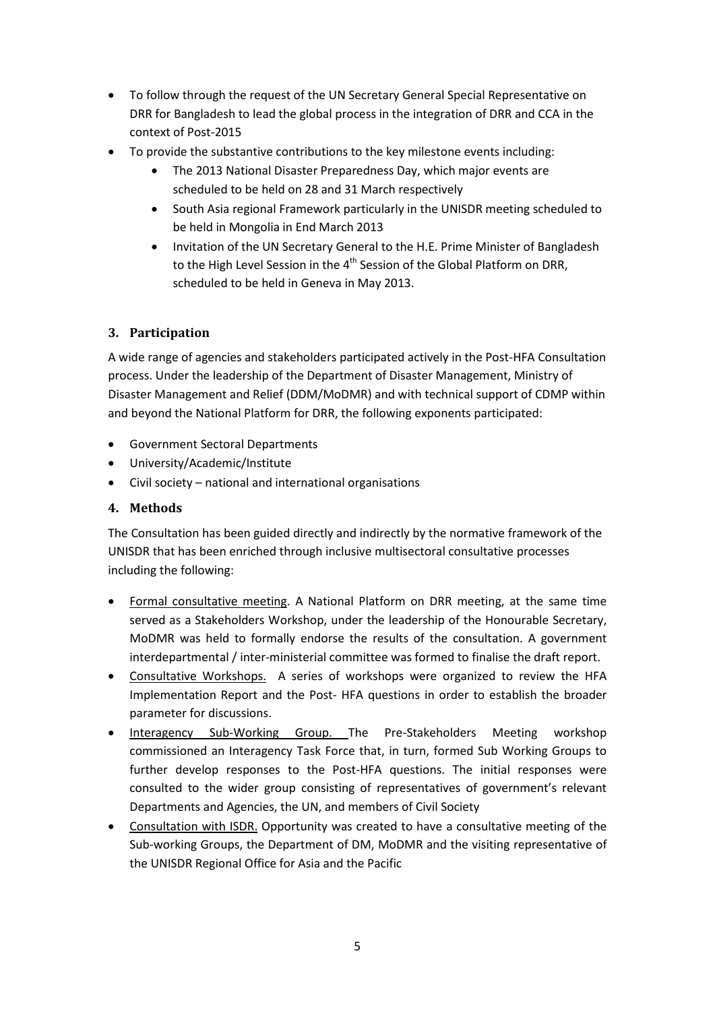- To follow through the request of the UN Secretary General Special Representative on DRR for Bangladesh to lead the global process in the integration of DRR and CCA in the context of Post-2015
- To provide the substantive contributions to the key milestone events including:
	- The 2013 National Disaster Preparedness Day, which major events are scheduled to be held on 28 and 31 March respectively
	- South Asia regional Framework particularly in the UNISDR meeting scheduled to be held in Mongolia in End March 2013
	- Invitation of the UN Secretary General to the H.E. Prime Minister of Bangladesh to the High Level Session in the 4<sup>th</sup> Session of the Global Platform on DRR, scheduled to be held in Geneva in May 2013.

### **3. Participation**

A wide range of agencies and stakeholders participated actively in the Post-HFA Consultation process. Under the leadership of the Department of Disaster Management, Ministry of Disaster Management and Relief (DDM/MoDMR) and with technical support of CDMP within and beyond the National Platform for DRR, the following exponents participated:

- Government Sectoral Departments
- University/Academic/Institute
- Civil society national and international organisations

### **4. Methods**

The Consultation has been guided directly and indirectly by the normative framework of the UNISDR that has been enriched through inclusive multisectoral consultative processes including the following:

- Formal consultative meeting. A National Platform on DRR meeting, at the same time served as a Stakeholders Workshop, under the leadership of the Honourable Secretary, MoDMR was held to formally endorse the results of the consultation. A government interdepartmental / inter-ministerial committee was formed to finalise the draft report.
- Consultative Workshops. A series of workshops were organized to review the HFA Implementation Report and the Post- HFA questions in order to establish the broader parameter for discussions.
- Interagency Sub-Working Group. The Pre-Stakeholders Meeting workshop commissioned an Interagency Task Force that, in turn, formed Sub Working Groups to further develop responses to the Post-HFA questions. The initial responses were consulted to the wider group consisting of representatives of government's relevant Departments and Agencies, the UN, and members of Civil Society
- Consultation with ISDR. Opportunity was created to have a consultative meeting of the Sub-working Groups, the Department of DM, MoDMR and the visiting representative of the UNISDR Regional Office for Asia and the Pacific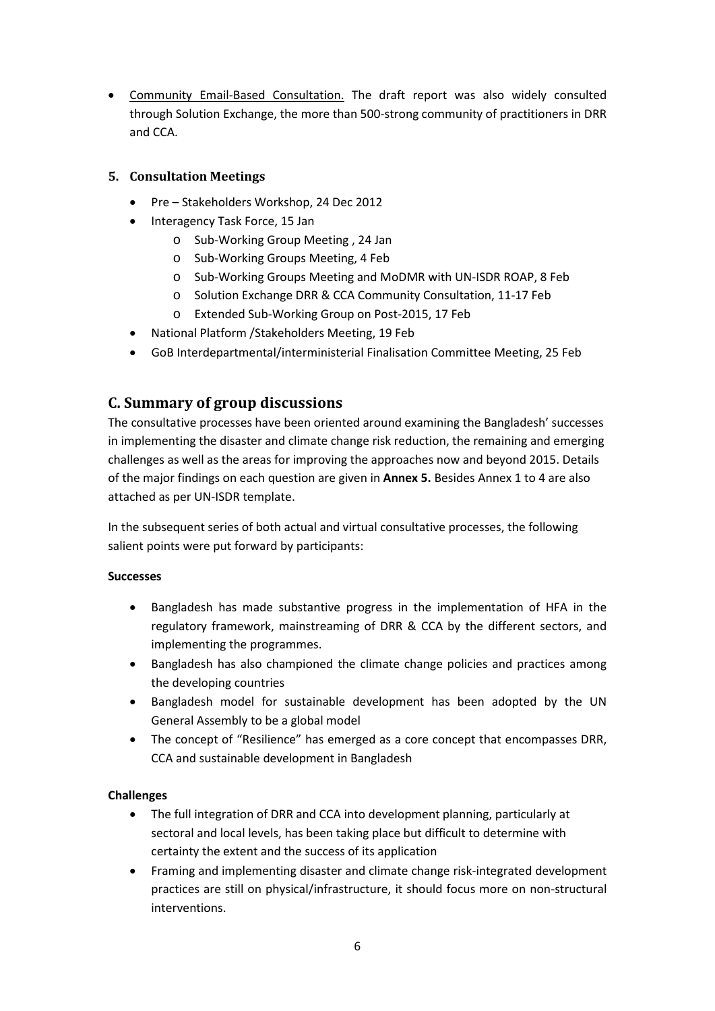• Community Email-Based Consultation. The draft report was also widely consulted through Solution Exchange, the more than 500-strong community of practitioners in DRR and CCA.

### **5. Consultation Meetings**

- Pre Stakeholders Workshop, 24 Dec 2012
- Interagency Task Force, 15 Jan
	- o Sub-Working Group Meeting , 24 Jan
	- o Sub-Working Groups Meeting, 4 Feb
	- o Sub-Working Groups Meeting and MoDMR with UN-ISDR ROAP, 8 Feb
	- o Solution Exchange DRR & CCA Community Consultation, 11-17 Feb
	- o Extended Sub-Working Group on Post-2015, 17 Feb
- National Platform /Stakeholders Meeting, 19 Feb
- GoB Interdepartmental/interministerial Finalisation Committee Meeting, 25 Feb

# **C. Summary of group discussions**

The consultative processes have been oriented around examining the Bangladesh' successes in implementing the disaster and climate change risk reduction, the remaining and emerging challenges as well as the areas for improving the approaches now and beyond 2015. Details of the major findings on each question are given in **Annex 5.** Besides Annex 1 to 4 are also attached as per UN-ISDR template.

In the subsequent series of both actual and virtual consultative processes, the following salient points were put forward by participants:

#### **Successes**

- Bangladesh has made substantive progress in the implementation of HFA in the regulatory framework, mainstreaming of DRR & CCA by the different sectors, and implementing the programmes.
- Bangladesh has also championed the climate change policies and practices among the developing countries
- Bangladesh model for sustainable development has been adopted by the UN General Assembly to be a global model
- The concept of "Resilience" has emerged as a core concept that encompasses DRR, CCA and sustainable development in Bangladesh

### **Challenges**

- The full integration of DRR and CCA into development planning, particularly at sectoral and local levels, has been taking place but difficult to determine with certainty the extent and the success of its application
- Framing and implementing disaster and climate change risk-integrated development practices are still on physical/infrastructure, it should focus more on non-structural interventions.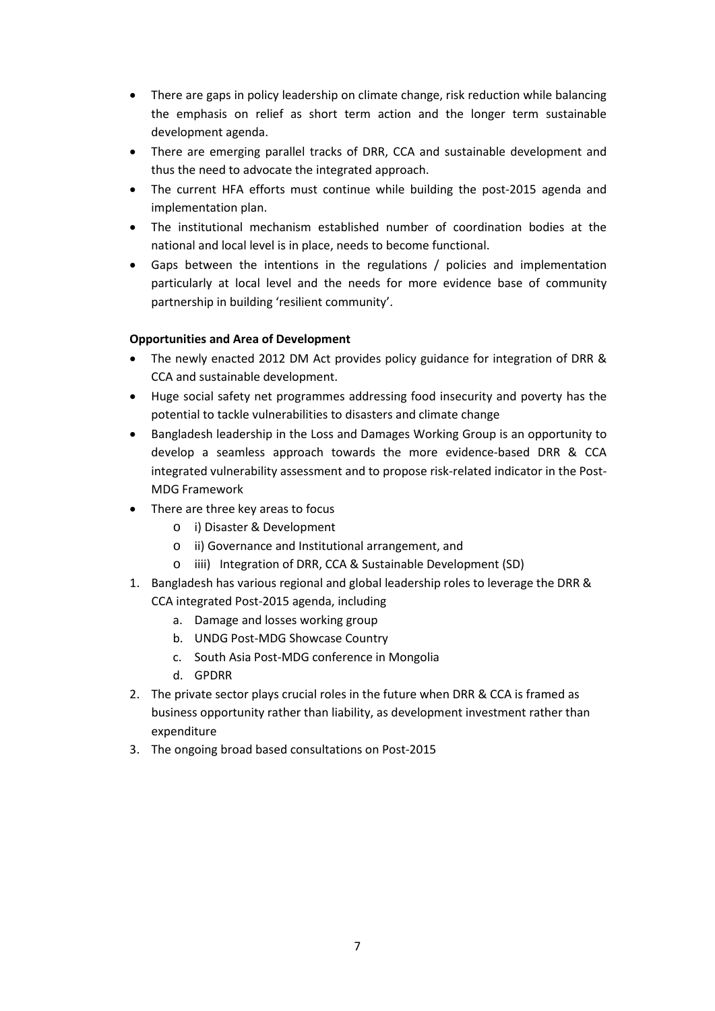- There are gaps in policy leadership on climate change, risk reduction while balancing the emphasis on relief as short term action and the longer term sustainable development agenda.
- There are emerging parallel tracks of DRR, CCA and sustainable development and thus the need to advocate the integrated approach.
- The current HFA efforts must continue while building the post-2015 agenda and implementation plan.
- The institutional mechanism established number of coordination bodies at the national and local level is in place, needs to become functional.
- Gaps between the intentions in the regulations / policies and implementation particularly at local level and the needs for more evidence base of community partnership in building 'resilient community'.

### **Opportunities and Area of Development**

- The newly enacted 2012 DM Act provides policy guidance for integration of DRR & CCA and sustainable development.
- Huge social safety net programmes addressing food insecurity and poverty has the potential to tackle vulnerabilities to disasters and climate change
- Bangladesh leadership in the Loss and Damages Working Group is an opportunity to develop a seamless approach towards the more evidence-based DRR & CCA integrated vulnerability assessment and to propose risk-related indicator in the Post-MDG Framework
- There are three key areas to focus
	- o i) Disaster & Development
	- o ii) Governance and Institutional arrangement, and
	- o iiii) Integration of DRR, CCA & Sustainable Development (SD)
- 1. Bangladesh has various regional and global leadership roles to leverage the DRR & CCA integrated Post-2015 agenda, including
	- a. Damage and losses working group
	- b. UNDG Post-MDG Showcase Country
	- c. South Asia Post-MDG conference in Mongolia
	- d. GPDRR
- 2. The private sector plays crucial roles in the future when DRR & CCA is framed as business opportunity rather than liability, as development investment rather than expenditure
- 3. The ongoing broad based consultations on Post-2015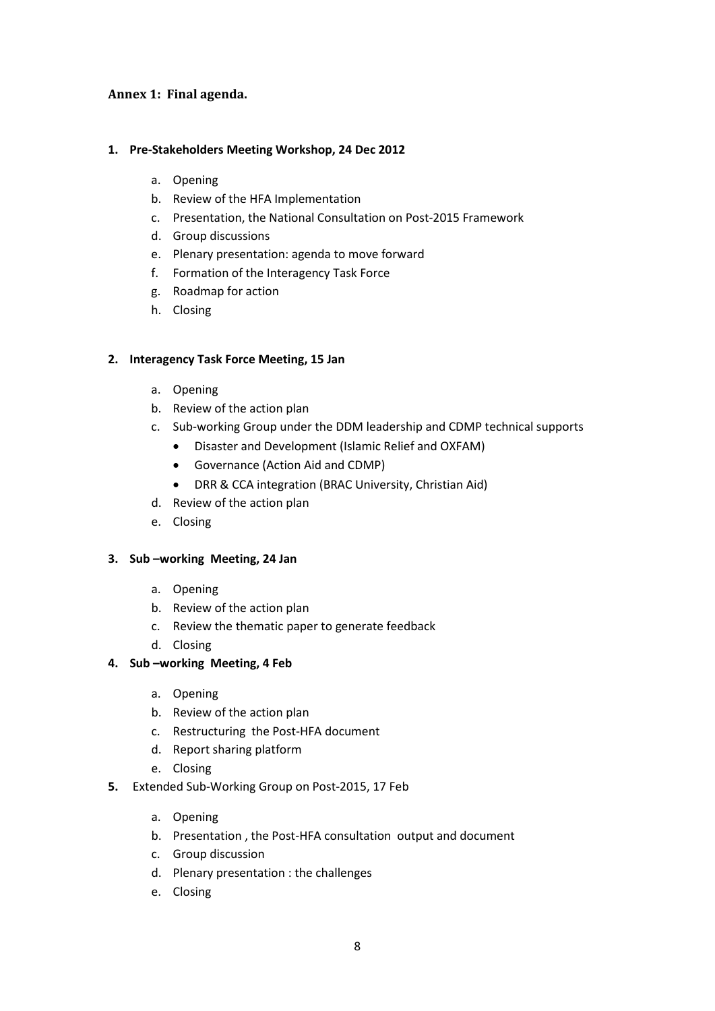### **Annex 1: Final agenda.**

#### **1. Pre-Stakeholders Meeting Workshop, 24 Dec 2012**

- a. Opening
- b. Review of the HFA Implementation
- c. Presentation, the National Consultation on Post-2015 Framework
- d. Group discussions
- e. Plenary presentation: agenda to move forward
- f. Formation of the Interagency Task Force
- g. Roadmap for action
- h. Closing

#### **2. Interagency Task Force Meeting, 15 Jan**

- a. Opening
- b. Review of the action plan
- c. Sub-working Group under the DDM leadership and CDMP technical supports
	- Disaster and Development (Islamic Relief and OXFAM)
	- Governance (Action Aid and CDMP)
	- DRR & CCA integration (BRAC University, Christian Aid)
- d. Review of the action plan
- e. Closing

#### **3. Sub –working Meeting, 24 Jan**

- a. Opening
- b. Review of the action plan
- c. Review the thematic paper to generate feedback
- d. Closing

#### **4. Sub –working Meeting, 4 Feb**

- a. Opening
- b. Review of the action plan
- c. Restructuring the Post-HFA document
- d. Report sharing platform
- e. Closing
- **5.** Extended Sub-Working Group on Post-2015, 17 Feb
	- a. Opening
	- b. Presentation , the Post-HFA consultation output and document
	- c. Group discussion
	- d. Plenary presentation : the challenges
	- e. Closing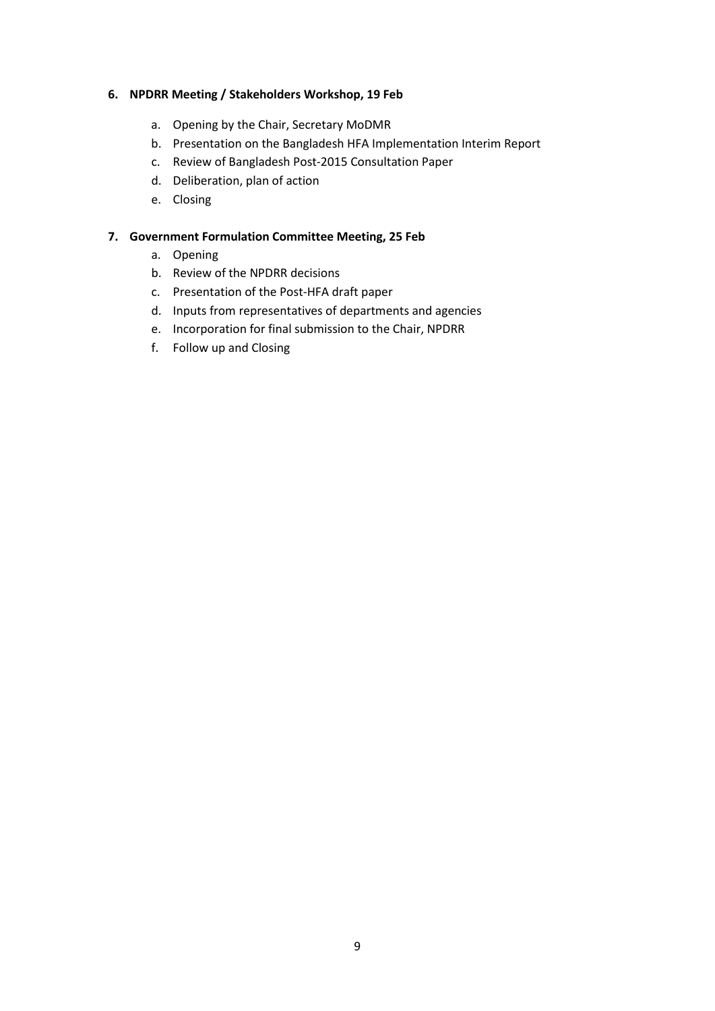#### **6. NPDRR Meeting / Stakeholders Workshop, 19 Feb**

- a. Opening by the Chair, Secretary MoDMR
- b. Presentation on the Bangladesh HFA Implementation Interim Report
- c. Review of Bangladesh Post-2015 Consultation Paper
- d. Deliberation, plan of action
- e. Closing

#### **7. Government Formulation Committee Meeting, 25 Feb**

- a. Opening
- b. Review of the NPDRR decisions
- c. Presentation of the Post-HFA draft paper
- d. Inputs from representatives of departments and agencies
- e. Incorporation for final submission to the Chair, NPDRR
- f. Follow up and Closing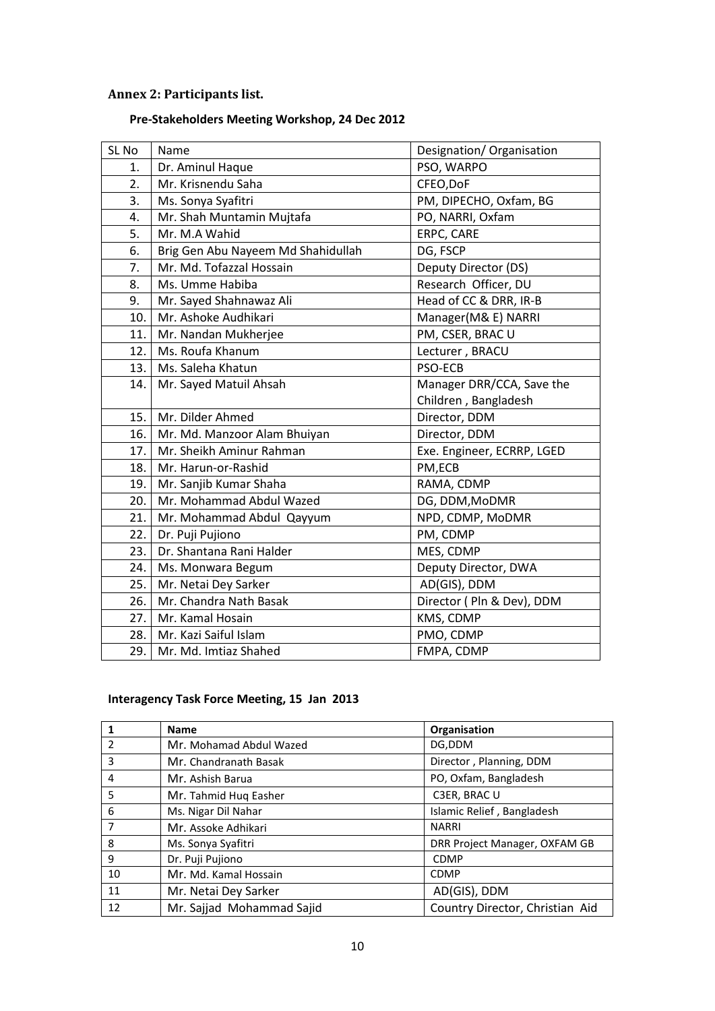# **Annex 2: Participants list.**

# **Pre-Stakeholders Meeting Workshop, 24 Dec 2012**

| SL No | Name                               | Designation/ Organisation  |  |
|-------|------------------------------------|----------------------------|--|
| 1.    | Dr. Aminul Haque                   | PSO, WARPO                 |  |
| 2.    | Mr. Krisnendu Saha                 | CFEO, DoF                  |  |
| 3.    | Ms. Sonya Syafitri                 | PM, DIPECHO, Oxfam, BG     |  |
| 4.    | Mr. Shah Muntamin Mujtafa          | PO, NARRI, Oxfam           |  |
| 5.    | Mr. M.A Wahid                      | ERPC, CARE                 |  |
| 6.    | Brig Gen Abu Nayeem Md Shahidullah | DG, FSCP                   |  |
| 7.    | Mr. Md. Tofazzal Hossain           | Deputy Director (DS)       |  |
| 8.    | Ms. Umme Habiba                    | Research Officer, DU       |  |
| 9.    | Mr. Sayed Shahnawaz Ali            | Head of CC & DRR, IR-B     |  |
| 10.   | Mr. Ashoke Audhikari               | Manager(M& E) NARRI        |  |
| 11.   | Mr. Nandan Mukherjee               | PM, CSER, BRAC U           |  |
| 12.   | Ms. Roufa Khanum                   | Lecturer, BRACU            |  |
| 13.   | Ms. Saleha Khatun                  | <b>PSO-ECB</b>             |  |
| 14.   | Mr. Sayed Matuil Ahsah             | Manager DRR/CCA, Save the  |  |
|       |                                    | Children, Bangladesh       |  |
| 15.   | Mr. Dilder Ahmed                   | Director, DDM              |  |
| 16.   | Mr. Md. Manzoor Alam Bhuiyan       | Director, DDM              |  |
| 17.   | Mr. Sheikh Aminur Rahman           | Exe. Engineer, ECRRP, LGED |  |
| 18.   | Mr. Harun-or-Rashid                | PM,ECB                     |  |
| 19.   | Mr. Sanjib Kumar Shaha             | RAMA, CDMP                 |  |
| 20.   | Mr. Mohammad Abdul Wazed           | DG, DDM, MoDMR             |  |
| 21.   | Mr. Mohammad Abdul Qayyum          | NPD, CDMP, MoDMR           |  |
| 22.   | Dr. Puji Pujiono                   | PM, CDMP                   |  |
| 23.   | Dr. Shantana Rani Halder           | MES, CDMP                  |  |
| 24.   | Ms. Monwara Begum                  | Deputy Director, DWA       |  |
| 25.   | Mr. Netai Dey Sarker               | AD(GIS), DDM               |  |
| 26.   | Mr. Chandra Nath Basak             | Director ( Pln & Dev), DDM |  |
| 27.   | Mr. Kamal Hosain                   | KMS, CDMP                  |  |
| 28.   | Mr. Kazi Saiful Islam              | PMO, CDMP                  |  |
| 29.   | Mr. Md. Imtiaz Shahed              | FMPA, CDMP                 |  |

# **Interagency Task Force Meeting, 15 Jan 2013**

|                | <b>Name</b>               | Organisation                    |  |
|----------------|---------------------------|---------------------------------|--|
| $\overline{2}$ | Mr. Mohamad Abdul Wazed   | DG,DDM                          |  |
| 3              | Mr. Chandranath Basak     | Director, Planning, DDM         |  |
| 4              | Mr. Ashish Barua          | PO, Oxfam, Bangladesh           |  |
| 5              | Mr. Tahmid Huq Easher     | C3ER, BRAC U                    |  |
| 6              | Ms. Nigar Dil Nahar       | Islamic Relief, Bangladesh      |  |
| 7              | Mr. Assoke Adhikari       | <b>NARRI</b>                    |  |
| 8              | Ms. Sonya Syafitri        | DRR Project Manager, OXFAM GB   |  |
| 9              | Dr. Puji Pujiono          | <b>CDMP</b>                     |  |
| 10             | Mr. Md. Kamal Hossain     | <b>CDMP</b>                     |  |
| 11             | Mr. Netai Dey Sarker      | AD(GIS), DDM                    |  |
| 12             | Mr. Sajjad Mohammad Sajid | Country Director, Christian Aid |  |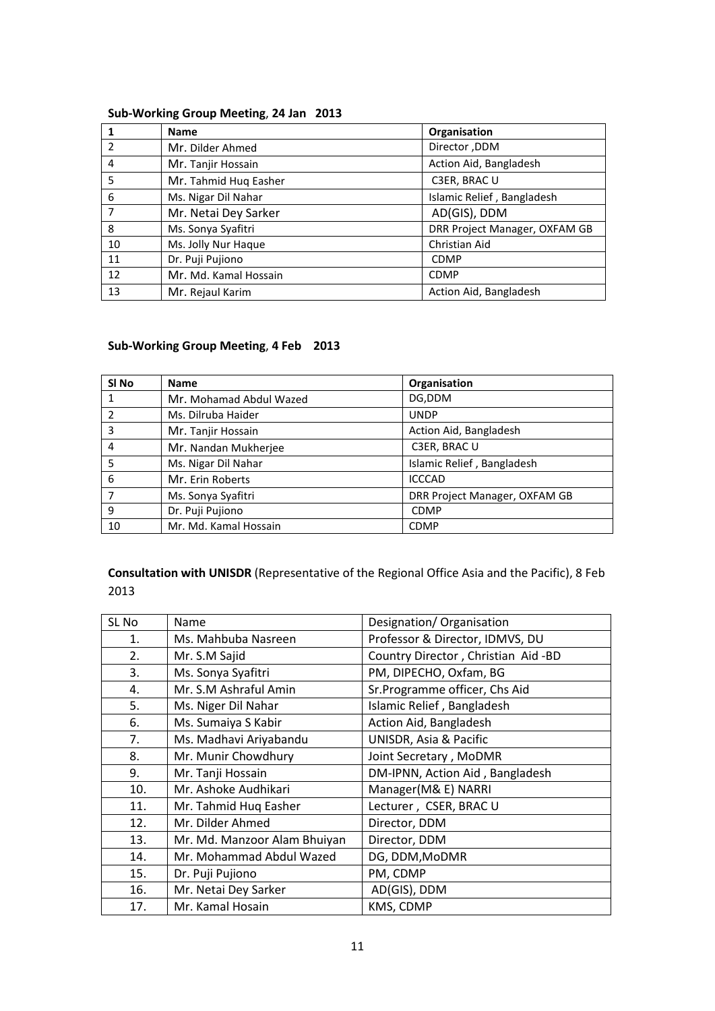#### **Sub-Working Group Meeting**, **24 Jan 2013**

|                | <b>Name</b>           | Organisation                  |  |
|----------------|-----------------------|-------------------------------|--|
| $\overline{2}$ | Mr. Dilder Ahmed      | Director, DDM                 |  |
| 4              | Mr. Tanjir Hossain    | Action Aid, Bangladesh        |  |
| 5              | Mr. Tahmid Huq Easher | C3ER, BRAC U                  |  |
| 6              | Ms. Nigar Dil Nahar   | Islamic Relief, Bangladesh    |  |
| 7              | Mr. Netai Dey Sarker  | AD(GIS), DDM                  |  |
| 8              | Ms. Sonya Syafitri    | DRR Project Manager, OXFAM GB |  |
| 10             | Ms. Jolly Nur Haque   | Christian Aid                 |  |
| 11             | Dr. Puji Pujiono      | <b>CDMP</b>                   |  |
| 12             | Mr. Md. Kamal Hossain | <b>CDMP</b>                   |  |
| 13             | Mr. Rejaul Karim      | Action Aid, Bangladesh        |  |

# **Sub-Working Group Meeting**, **4 Feb 2013**

| SI No | <b>Name</b>             | Organisation                  |  |
|-------|-------------------------|-------------------------------|--|
|       | Mr. Mohamad Abdul Wazed | DG,DDM                        |  |
|       | Ms. Dilruba Haider      | <b>UNDP</b>                   |  |
| 3     | Mr. Tanjir Hossain      | Action Aid, Bangladesh        |  |
| 4     | Mr. Nandan Mukherjee    | C3ER, BRAC U                  |  |
| 5     | Ms. Nigar Dil Nahar     | Islamic Relief, Bangladesh    |  |
| 6     | Mr. Erin Roberts        | <b>ICCCAD</b>                 |  |
| 7     | Ms. Sonya Syafitri      | DRR Project Manager, OXFAM GB |  |
| 9     | Dr. Puji Pujiono        | <b>CDMP</b>                   |  |
| 10    | Mr. Md. Kamal Hossain   | <b>CDMP</b>                   |  |

**Consultation with UNISDR** (Representative of the Regional Office Asia and the Pacific), 8 Feb 2013

| SL No | Name                         | Designation/Organisation           |
|-------|------------------------------|------------------------------------|
| 1.    | Ms. Mahbuba Nasreen          | Professor & Director, IDMVS, DU    |
| 2.    | Mr. S.M Sajid                | Country Director, Christian Aid-BD |
| 3.    | Ms. Sonya Syafitri           | PM, DIPECHO, Oxfam, BG             |
| 4.    | Mr. S.M Ashraful Amin        | Sr.Programme officer, Chs Aid      |
| 5.    | Ms. Niger Dil Nahar          | Islamic Relief, Bangladesh         |
| 6.    | Ms. Sumaiya S Kabir          | Action Aid, Bangladesh             |
| 7.    | Ms. Madhavi Ariyabandu       | UNISDR, Asia & Pacific             |
| 8.    | Mr. Munir Chowdhury          | Joint Secretary, MoDMR             |
| 9.    | Mr. Tanji Hossain            | DM-IPNN, Action Aid, Bangladesh    |
| 10.   | Mr. Ashoke Audhikari         | Manager(M& E) NARRI                |
| 11.   | Mr. Tahmid Hug Easher        | Lecturer, CSER, BRAC U             |
| 12.   | Mr. Dilder Ahmed             | Director, DDM                      |
| 13.   | Mr. Md. Manzoor Alam Bhuiyan | Director, DDM                      |
| 14.   | Mr. Mohammad Abdul Wazed     | DG, DDM, MoDMR                     |
| 15.   | Dr. Puji Pujiono             | PM, CDMP                           |
| 16.   | Mr. Netai Dey Sarker         | AD(GIS), DDM                       |
| 17.   | Mr. Kamal Hosain             | KMS, CDMP                          |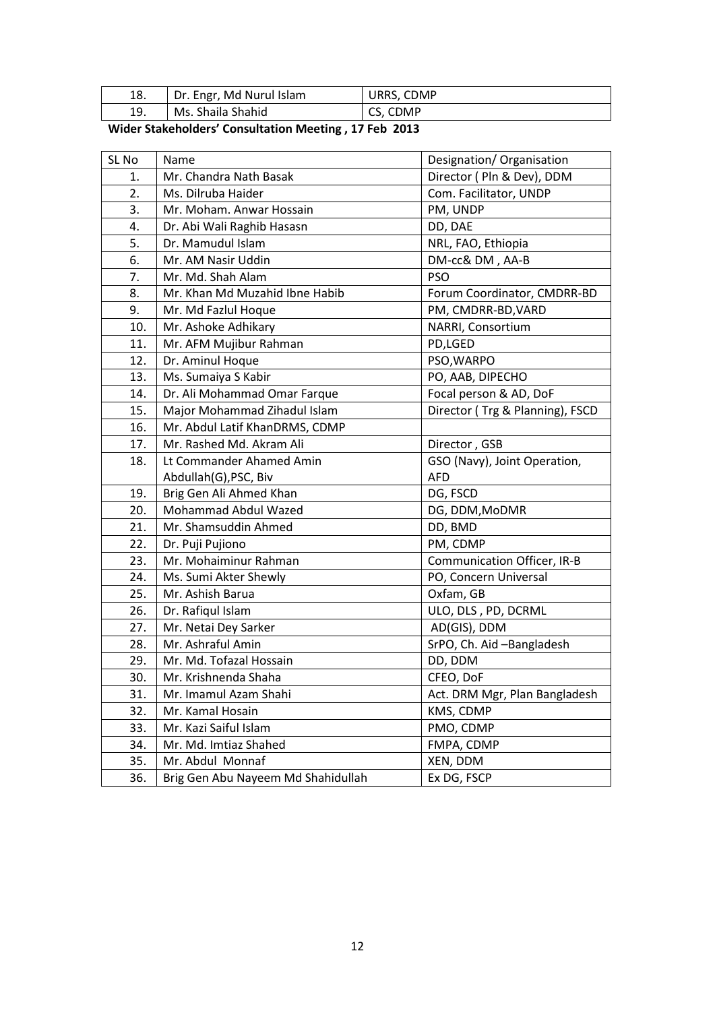| 18. | Dr. Engr, Md Nurul Islam | URRS, CDMP |
|-----|--------------------------|------------|
| 19. | Ms. Shaila Shahid        | CS, CDMP   |

**Wider Stakeholders' Consultation Meeting , 17 Feb 2013** 

| SL No                 | Name                               | Designation/ Organisation          |  |
|-----------------------|------------------------------------|------------------------------------|--|
| 1.                    | Mr. Chandra Nath Basak             | Director ( Pln & Dev), DDM         |  |
| 2.                    | Ms. Dilruba Haider                 | Com. Facilitator, UNDP             |  |
| 3.                    | Mr. Moham. Anwar Hossain           | PM, UNDP                           |  |
| 4.                    | Dr. Abi Wali Raghib Hasasn         | DD, DAE                            |  |
| 5.                    | Dr. Mamudul Islam                  | NRL, FAO, Ethiopia                 |  |
| 6.                    | Mr. AM Nasir Uddin                 | DM-cc& DM, AA-B                    |  |
| 7.                    | Mr. Md. Shah Alam                  | <b>PSO</b>                         |  |
| 8.                    | Mr. Khan Md Muzahid Ibne Habib     | Forum Coordinator, CMDRR-BD        |  |
| 9.                    | Mr. Md Fazlul Hoque                | PM, CMDRR-BD, VARD                 |  |
| 10.                   | Mr. Ashoke Adhikary                | NARRI, Consortium                  |  |
| 11.                   | Mr. AFM Mujibur Rahman             | PD,LGED                            |  |
| 12.                   | Dr. Aminul Hoque                   | PSO, WARPO                         |  |
| 13.                   | Ms. Sumaiya S Kabir                | PO, AAB, DIPECHO                   |  |
| 14.                   | Dr. Ali Mohammad Omar Farque       | Focal person & AD, DoF             |  |
| 15.                   | Major Mohammad Zihadul Islam       | Director (Trg & Planning), FSCD    |  |
| 16.                   | Mr. Abdul Latif KhanDRMS, CDMP     |                                    |  |
| 17.                   | Mr. Rashed Md. Akram Ali           | Director, GSB                      |  |
| 18.                   | Lt Commander Ahamed Amin           | GSO (Navy), Joint Operation,       |  |
| Abdullah(G), PSC, Biv |                                    | <b>AFD</b>                         |  |
| 19.                   | Brig Gen Ali Ahmed Khan            | DG, FSCD                           |  |
| 20.                   | <b>Mohammad Abdul Wazed</b>        | DG, DDM, MoDMR                     |  |
| 21.                   | Mr. Shamsuddin Ahmed               | DD, BMD                            |  |
| 22.                   | Dr. Puji Pujiono                   | PM, CDMP                           |  |
| 23.                   | Mr. Mohaiminur Rahman              | <b>Communication Officer, IR-B</b> |  |
| 24.                   | Ms. Sumi Akter Shewly              | PO, Concern Universal              |  |
| 25.                   | Mr. Ashish Barua                   | Oxfam, GB                          |  |
| 26.                   | Dr. Rafiqul Islam                  | ULO, DLS, PD, DCRML                |  |
| 27.                   | Mr. Netai Dey Sarker               | AD(GIS), DDM                       |  |
| 28.                   | Mr. Ashraful Amin                  | SrPO, Ch. Aid-Bangladesh           |  |
| 29.                   | Mr. Md. Tofazal Hossain            | DD, DDM                            |  |
| 30.                   | Mr. Krishnenda Shaha               | CFEO, DoF                          |  |
| 31.                   | Mr. Imamul Azam Shahi              | Act. DRM Mgr, Plan Bangladesh      |  |
| 32.                   | Mr. Kamal Hosain                   | KMS, CDMP                          |  |
| 33.                   | Mr. Kazi Saiful Islam              | PMO, CDMP                          |  |
| 34.                   | Mr. Md. Imtiaz Shahed              | FMPA, CDMP                         |  |
| 35.                   | Mr. Abdul Monnaf                   | XEN, DDM                           |  |
| 36.                   | Brig Gen Abu Nayeem Md Shahidullah | Ex DG, FSCP                        |  |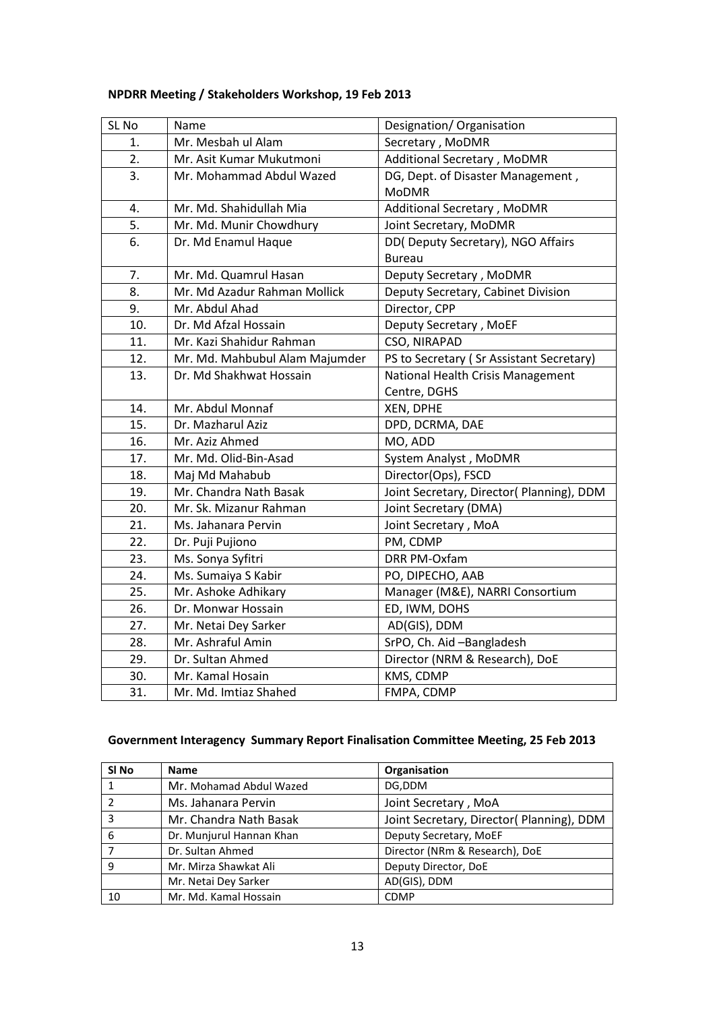# **NPDRR Meeting / Stakeholders Workshop, 19 Feb 2013**

| SL <sub>No</sub> | Name                           | Designation/ Organisation                 |  |
|------------------|--------------------------------|-------------------------------------------|--|
| 1.               | Mr. Mesbah ul Alam             | Secretary, MoDMR                          |  |
| 2.               | Mr. Asit Kumar Mukutmoni       | Additional Secretary, MoDMR               |  |
| 3.               | Mr. Mohammad Abdul Wazed       | DG, Dept. of Disaster Management,         |  |
|                  |                                | <b>MoDMR</b>                              |  |
| 4.               | Mr. Md. Shahidullah Mia        | Additional Secretary, MoDMR               |  |
| 5.               | Mr. Md. Munir Chowdhury        | Joint Secretary, MoDMR                    |  |
| 6.               | Dr. Md Enamul Haque            | DD(Deputy Secretary), NGO Affairs         |  |
|                  |                                | <b>Bureau</b>                             |  |
| 7.               | Mr. Md. Quamrul Hasan          | Deputy Secretary, MoDMR                   |  |
| 8.               | Mr. Md Azadur Rahman Mollick   | Deputy Secretary, Cabinet Division        |  |
| 9.               | Mr. Abdul Ahad                 | Director, CPP                             |  |
| 10.              | Dr. Md Afzal Hossain           | Deputy Secretary, MoEF                    |  |
| 11.              | Mr. Kazi Shahidur Rahman       | CSO, NIRAPAD                              |  |
| 12.              | Mr. Md. Mahbubul Alam Majumder | PS to Secretary (Sr Assistant Secretary)  |  |
| 13.              | Dr. Md Shakhwat Hossain        | National Health Crisis Management         |  |
|                  |                                | Centre, DGHS                              |  |
| 14.              | Mr. Abdul Monnaf               | XEN, DPHE                                 |  |
| 15.              | Dr. Mazharul Aziz              | DPD, DCRMA, DAE                           |  |
| 16.              | Mr. Aziz Ahmed                 | MO, ADD                                   |  |
| 17.              | Mr. Md. Olid-Bin-Asad          | System Analyst, MoDMR                     |  |
| 18.              | Maj Md Mahabub                 | Director(Ops), FSCD                       |  |
| 19.              | Mr. Chandra Nath Basak         | Joint Secretary, Director( Planning), DDM |  |
| 20.              | Mr. Sk. Mizanur Rahman         | Joint Secretary (DMA)                     |  |
| 21.              | Ms. Jahanara Pervin            | Joint Secretary, MoA                      |  |
| 22.              | Dr. Puji Pujiono               | PM, CDMP                                  |  |
| 23.              | Ms. Sonya Syfitri              | DRR PM-Oxfam                              |  |
| 24.              | Ms. Sumaiya S Kabir            | PO, DIPECHO, AAB                          |  |
| 25.              | Mr. Ashoke Adhikary            | Manager (M&E), NARRI Consortium           |  |
| 26.              | Dr. Monwar Hossain             | ED, IWM, DOHS                             |  |
| 27.              | Mr. Netai Dey Sarker           | AD(GIS), DDM                              |  |
| 28.              | Mr. Ashraful Amin              | SrPO, Ch. Aid-Bangladesh                  |  |
| 29.              | Dr. Sultan Ahmed               | Director (NRM & Research), DoE            |  |
| 30.              | Mr. Kamal Hosain               | KMS, CDMP                                 |  |
| 31.              | Mr. Md. Imtiaz Shahed          | FMPA, CDMP                                |  |

# **Government Interagency Summary Report Finalisation Committee Meeting, 25 Feb 2013**

| SI No         | <b>Name</b>              | Organisation                             |  |
|---------------|--------------------------|------------------------------------------|--|
|               | Mr. Mohamad Abdul Wazed  | DG,DDM                                   |  |
| $\mathcal{D}$ | Ms. Jahanara Pervin      | Joint Secretary, MoA                     |  |
| 3             | Mr. Chandra Nath Basak   | Joint Secretary, Director(Planning), DDM |  |
| 6             | Dr. Munjurul Hannan Khan | Deputy Secretary, MoEF                   |  |
|               | Dr. Sultan Ahmed         | Director (NRm & Research), DoE           |  |
| 9             | Mr. Mirza Shawkat Ali    | Deputy Director, DoE                     |  |
|               | Mr. Netai Dey Sarker     | AD(GIS), DDM                             |  |
| 10            | Mr. Md. Kamal Hossain    | <b>CDMP</b>                              |  |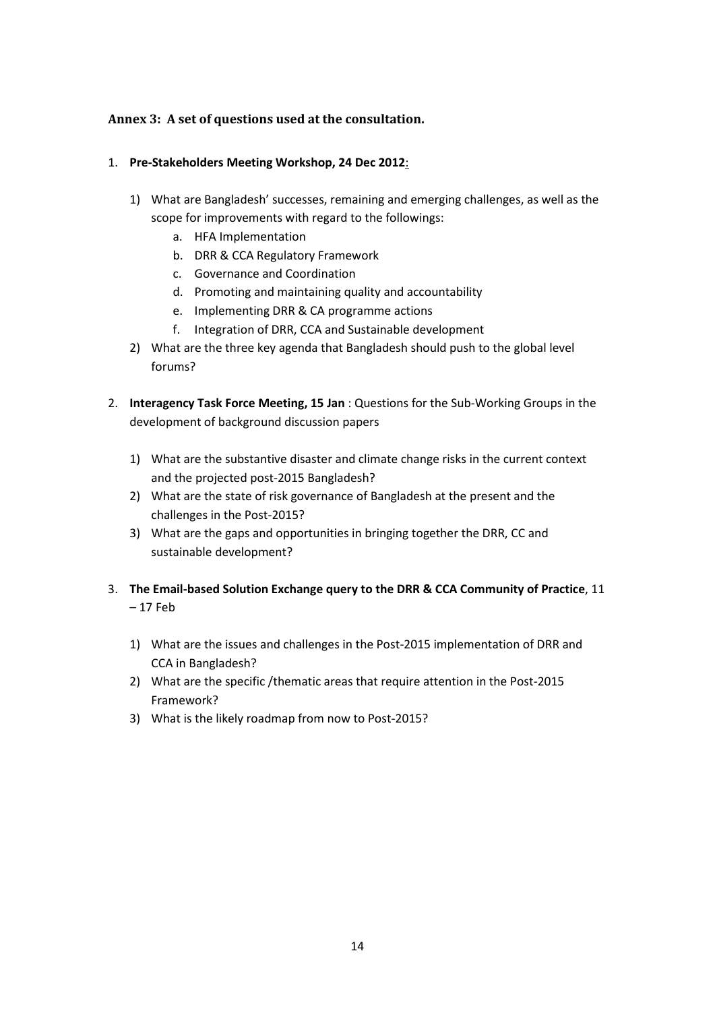### **Annex 3: A set of questions used at the consultation.**

#### 1. **Pre-Stakeholders Meeting Workshop, 24 Dec 2012**:

- 1) What are Bangladesh' successes, remaining and emerging challenges, as well as the scope for improvements with regard to the followings:
	- a. HFA Implementation
	- b. DRR & CCA Regulatory Framework
	- c. Governance and Coordination
	- d. Promoting and maintaining quality and accountability
	- e. Implementing DRR & CA programme actions
	- f. Integration of DRR, CCA and Sustainable development
- 2) What are the three key agenda that Bangladesh should push to the global level forums?
- 2. **Interagency Task Force Meeting, 15 Jan** : Questions for the Sub-Working Groups in the development of background discussion papers
	- 1) What are the substantive disaster and climate change risks in the current context and the projected post-2015 Bangladesh?
	- 2) What are the state of risk governance of Bangladesh at the present and the challenges in the Post-2015?
	- 3) What are the gaps and opportunities in bringing together the DRR, CC and sustainable development?
- 3. **The Email-based Solution Exchange query to the DRR & CCA Community of Practice**, 11 – 17 Feb
	- 1) What are the issues and challenges in the Post-2015 implementation of DRR and CCA in Bangladesh?
	- 2) What are the specific /thematic areas that require attention in the Post-2015 Framework?
	- 3) What is the likely roadmap from now to Post-2015?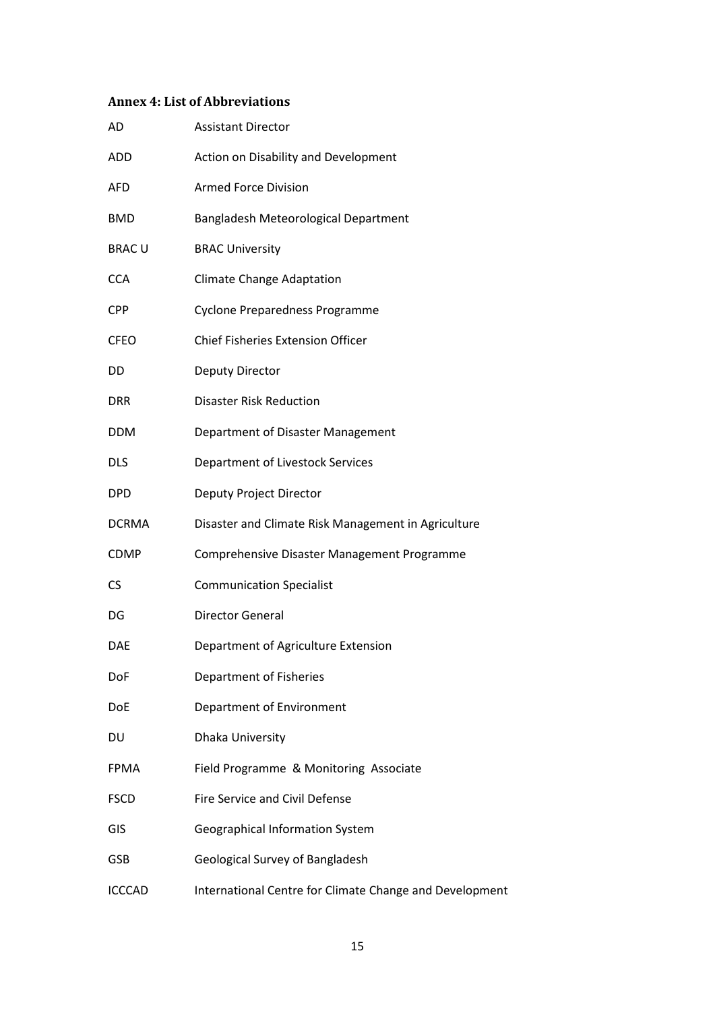# **Annex 4: List of Abbreviations**

| AD            | <b>Assistant Director</b>                               |
|---------------|---------------------------------------------------------|
| ADD           | Action on Disability and Development                    |
| <b>AFD</b>    | <b>Armed Force Division</b>                             |
| <b>BMD</b>    | Bangladesh Meteorological Department                    |
| <b>BRACU</b>  | <b>BRAC University</b>                                  |
| <b>CCA</b>    | <b>Climate Change Adaptation</b>                        |
| <b>CPP</b>    | <b>Cyclone Preparedness Programme</b>                   |
| <b>CFEO</b>   | <b>Chief Fisheries Extension Officer</b>                |
| DD            | <b>Deputy Director</b>                                  |
| <b>DRR</b>    | <b>Disaster Risk Reduction</b>                          |
| <b>DDM</b>    | Department of Disaster Management                       |
| <b>DLS</b>    | Department of Livestock Services                        |
| <b>DPD</b>    | Deputy Project Director                                 |
| <b>DCRMA</b>  | Disaster and Climate Risk Management in Agriculture     |
| <b>CDMP</b>   | Comprehensive Disaster Management Programme             |
| CS            | <b>Communication Specialist</b>                         |
| DG            | <b>Director General</b>                                 |
| <b>DAE</b>    | Department of Agriculture Extension                     |
| DoF           | <b>Department of Fisheries</b>                          |
| DoE           | Department of Environment                               |
| DU            | Dhaka University                                        |
| <b>FPMA</b>   | Field Programme & Monitoring Associate                  |
| <b>FSCD</b>   | Fire Service and Civil Defense                          |
| GIS           | Geographical Information System                         |
| GSB           | Geological Survey of Bangladesh                         |
| <b>ICCCAD</b> | International Centre for Climate Change and Development |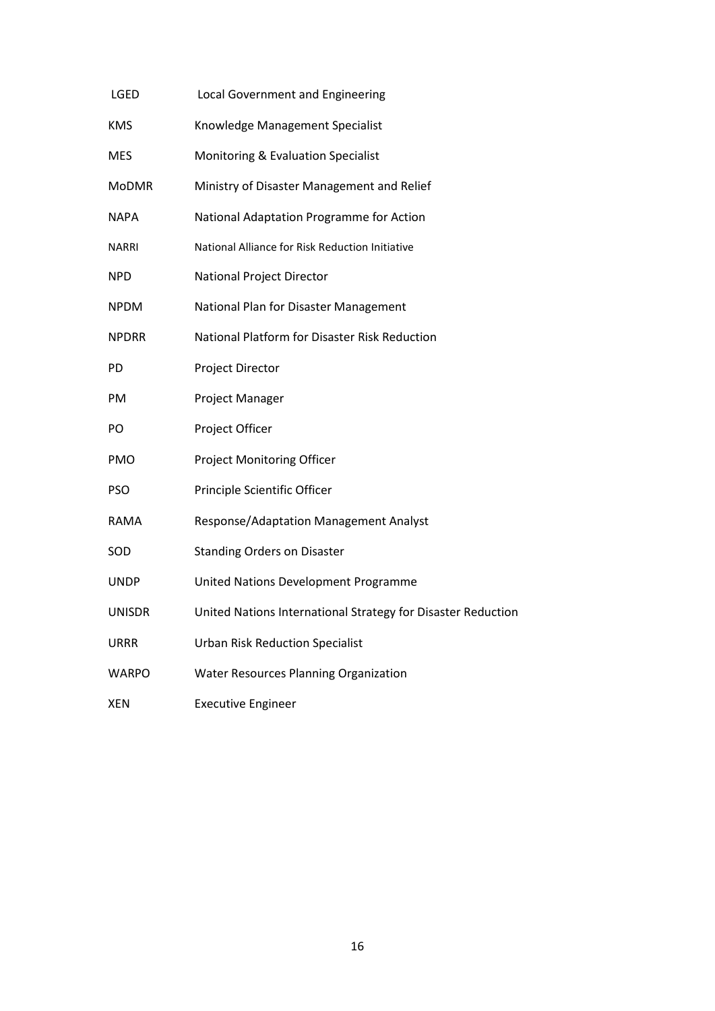| LGED         | Local Government and Engineering                             |
|--------------|--------------------------------------------------------------|
| <b>KMS</b>   | Knowledge Management Specialist                              |
| MES          | Monitoring & Evaluation Specialist                           |
| <b>MoDMR</b> | Ministry of Disaster Management and Relief                   |
| NAPA         | National Adaptation Programme for Action                     |
| <b>NARRI</b> | National Alliance for Risk Reduction Initiative              |
| <b>NPD</b>   | <b>National Project Director</b>                             |
| <b>NPDM</b>  | National Plan for Disaster Management                        |
| <b>NPDRR</b> | National Platform for Disaster Risk Reduction                |
| <b>PD</b>    | Project Director                                             |
| PM           | Project Manager                                              |
| PO           | Project Officer                                              |
| PMO          | <b>Project Monitoring Officer</b>                            |
| <b>PSO</b>   | Principle Scientific Officer                                 |
| RAMA         | <b>Response/Adaptation Management Analyst</b>                |
| SOD          | <b>Standing Orders on Disaster</b>                           |
| UNDP         | United Nations Development Programme                         |
| UNISDR       | United Nations International Strategy for Disaster Reduction |
| URRR         | <b>Urban Risk Reduction Specialist</b>                       |
| WARPO        | <b>Water Resources Planning Organization</b>                 |
| <b>XEN</b>   | <b>Executive Engineer</b>                                    |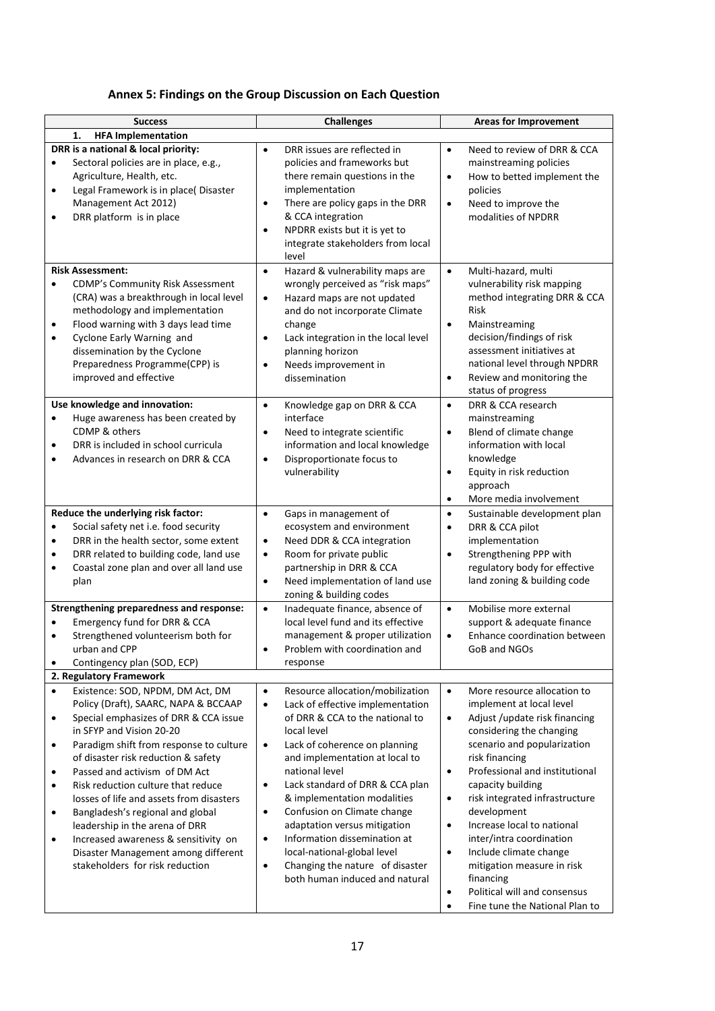| Annex 5: Findings on the Group Discussion on Each Question |  |  |
|------------------------------------------------------------|--|--|
|------------------------------------------------------------|--|--|

| <b>Success</b>                                                                                                                                                                                                                                                                                                                                                                                                                                                                                                                                                                                                                | <b>Challenges</b>                                                                                                                                                                                                                                                                                                                                                                                                                                                                                                                                                           | <b>Areas for Improvement</b>                                                                                                                                                                                                                                                                                                                                                                                                                                                                                                                                               |  |  |
|-------------------------------------------------------------------------------------------------------------------------------------------------------------------------------------------------------------------------------------------------------------------------------------------------------------------------------------------------------------------------------------------------------------------------------------------------------------------------------------------------------------------------------------------------------------------------------------------------------------------------------|-----------------------------------------------------------------------------------------------------------------------------------------------------------------------------------------------------------------------------------------------------------------------------------------------------------------------------------------------------------------------------------------------------------------------------------------------------------------------------------------------------------------------------------------------------------------------------|----------------------------------------------------------------------------------------------------------------------------------------------------------------------------------------------------------------------------------------------------------------------------------------------------------------------------------------------------------------------------------------------------------------------------------------------------------------------------------------------------------------------------------------------------------------------------|--|--|
| <b>HFA Implementation</b><br>1.<br>DRR is a national & local priority:<br>Sectoral policies are in place, e.g.,<br>$\bullet$<br>Agriculture, Health, etc.<br>Legal Framework is in place(Disaster<br>$\bullet$<br>Management Act 2012)<br>DRR platform is in place<br>$\bullet$                                                                                                                                                                                                                                                                                                                                               | DRR issues are reflected in<br>$\bullet$<br>policies and frameworks but<br>there remain questions in the<br>implementation<br>There are policy gaps in the DRR<br>$\bullet$<br>& CCA integration<br>NPDRR exists but it is yet to<br>$\bullet$<br>integrate stakeholders from local<br>level                                                                                                                                                                                                                                                                                | Need to review of DRR & CCA<br>$\bullet$<br>mainstreaming policies<br>How to betted implement the<br>$\bullet$<br>policies<br>Need to improve the<br>$\bullet$<br>modalities of NPDRR                                                                                                                                                                                                                                                                                                                                                                                      |  |  |
| <b>Risk Assessment:</b><br><b>CDMP's Community Risk Assessment</b><br>$\bullet$<br>(CRA) was a breakthrough in local level<br>methodology and implementation<br>Flood warning with 3 days lead time<br>٠<br>Cyclone Early Warning and<br>$\bullet$<br>dissemination by the Cyclone<br>Preparedness Programme(CPP) is<br>improved and effective                                                                                                                                                                                                                                                                                | Hazard & vulnerability maps are<br>$\bullet$<br>wrongly perceived as "risk maps"<br>Hazard maps are not updated<br>$\bullet$<br>and do not incorporate Climate<br>change<br>Lack integration in the local level<br>$\bullet$<br>planning horizon<br>Needs improvement in<br>$\bullet$<br>dissemination                                                                                                                                                                                                                                                                      | Multi-hazard, multi<br>$\bullet$<br>vulnerability risk mapping<br>method integrating DRR & CCA<br>Risk<br>Mainstreaming<br>$\bullet$<br>decision/findings of risk<br>assessment initiatives at<br>national level through NPDRR<br>Review and monitoring the<br>$\bullet$<br>status of progress                                                                                                                                                                                                                                                                             |  |  |
| Use knowledge and innovation:<br>Huge awareness has been created by<br>$\bullet$<br>CDMP & others<br>DRR is included in school curricula<br>$\bullet$<br>Advances in research on DRR & CCA<br>$\bullet$                                                                                                                                                                                                                                                                                                                                                                                                                       | Knowledge gap on DRR & CCA<br>$\bullet$<br>interface<br>Need to integrate scientific<br>$\bullet$<br>information and local knowledge<br>Disproportionate focus to<br>$\bullet$<br>vulnerability                                                                                                                                                                                                                                                                                                                                                                             | DRR & CCA research<br>$\bullet$<br>mainstreaming<br>Blend of climate change<br>$\bullet$<br>information with local<br>knowledge<br>Equity in risk reduction<br>$\bullet$<br>approach<br>More media involvement<br>$\bullet$                                                                                                                                                                                                                                                                                                                                                |  |  |
| Reduce the underlying risk factor:<br>Social safety net i.e. food security<br>$\bullet$<br>DRR in the health sector, some extent<br>٠<br>DRR related to building code, land use<br>٠<br>Coastal zone plan and over all land use<br>$\bullet$<br>plan                                                                                                                                                                                                                                                                                                                                                                          | Gaps in management of<br>$\bullet$<br>ecosystem and environment<br>Need DDR & CCA integration<br>$\bullet$<br>Room for private public<br>$\bullet$<br>partnership in DRR & CCA<br>Need implementation of land use<br>$\bullet$<br>zoning & building codes                                                                                                                                                                                                                                                                                                                   | Sustainable development plan<br>$\bullet$<br>DRR & CCA pilot<br>$\bullet$<br>implementation<br>Strengthening PPP with<br>$\bullet$<br>regulatory body for effective<br>land zoning & building code                                                                                                                                                                                                                                                                                                                                                                         |  |  |
| Strengthening preparedness and response:<br>Emergency fund for DRR & CCA<br>$\bullet$<br>Strengthened volunteerism both for<br>$\bullet$<br>urban and CPP<br>Contingency plan (SOD, ECP)                                                                                                                                                                                                                                                                                                                                                                                                                                      | Inadequate finance, absence of<br>$\bullet$<br>local level fund and its effective<br>management & proper utilization<br>Problem with coordination and<br>response                                                                                                                                                                                                                                                                                                                                                                                                           | Mobilise more external<br>$\bullet$<br>support & adequate finance<br>Enhance coordination between<br>$\bullet$<br>GoB and NGOs                                                                                                                                                                                                                                                                                                                                                                                                                                             |  |  |
| 2. Regulatory Framework                                                                                                                                                                                                                                                                                                                                                                                                                                                                                                                                                                                                       |                                                                                                                                                                                                                                                                                                                                                                                                                                                                                                                                                                             |                                                                                                                                                                                                                                                                                                                                                                                                                                                                                                                                                                            |  |  |
| Existence: SOD, NPDM, DM Act, DM<br>$\bullet$<br>Policy (Draft), SAARC, NAPA & BCCAAP<br>Special emphasizes of DRR & CCA issue<br>$\bullet$<br>in SFYP and Vision 20-20<br>Paradigm shift from response to culture<br>$\bullet$<br>of disaster risk reduction & safety<br>Passed and activism of DM Act<br>$\bullet$<br>Risk reduction culture that reduce<br>٠<br>losses of life and assets from disasters<br>Bangladesh's regional and global<br>$\bullet$<br>leadership in the arena of DRR<br>Increased awareness & sensitivity on<br>$\bullet$<br>Disaster Management among different<br>stakeholders for risk reduction | Resource allocation/mobilization<br>$\bullet$<br>Lack of effective implementation<br>$\bullet$<br>of DRR & CCA to the national to<br>local level<br>$\bullet$<br>Lack of coherence on planning<br>and implementation at local to<br>national level<br>Lack standard of DRR & CCA plan<br>$\bullet$<br>& implementation modalities<br>Confusion on Climate change<br>$\bullet$<br>adaptation versus mitigation<br>Information dissemination at<br>$\bullet$<br>local-national-global level<br>Changing the nature of disaster<br>$\bullet$<br>both human induced and natural | More resource allocation to<br>$\bullet$<br>implement at local level<br>Adjust / update risk financing<br>$\bullet$<br>considering the changing<br>scenario and popularization<br>risk financing<br>Professional and institutional<br>$\bullet$<br>capacity building<br>risk integrated infrastructure<br>$\bullet$<br>development<br>Increase local to national<br>$\bullet$<br>inter/intra coordination<br>Include climate change<br>$\bullet$<br>mitigation measure in risk<br>financing<br>Political will and consensus<br>$\bullet$<br>Fine tune the National Plan to |  |  |